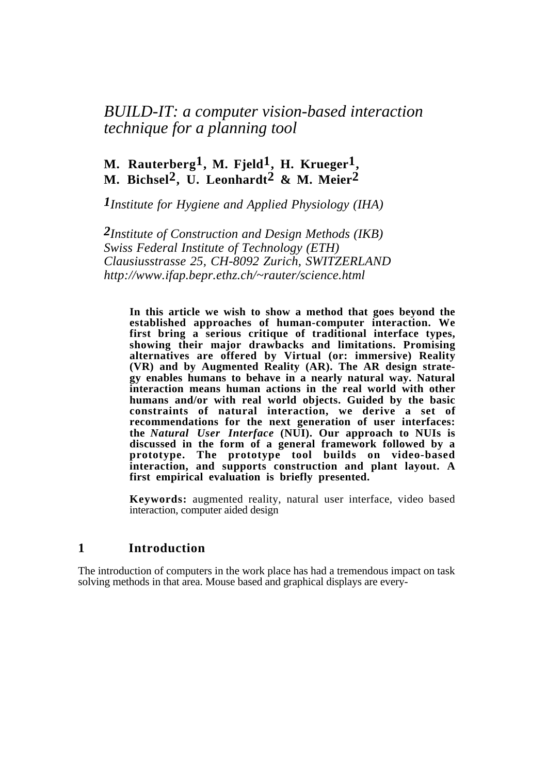# *BUILD-IT: a computer vision-based interaction technique for a planning tool*

# **M. Rauterberg1, M. Fjeld1, H. Krueger1 , M. Bichsel2, U. Leonhardt2 & M. Meier2**

*1Institute for Hygiene and Applied Physiology (IHA)*

*2Institute of Construction and Design Methods (IKB) Swiss Federal Institute of Technology (ETH) Clausiusstrasse 25, CH-8092 Zurich, SWITZERLAND http://www.ifap.bepr.ethz.ch/~rauter/science.html*

**In this article we wish to show a method that goes beyond the established approaches of human-computer interaction. We first bring a serious critique of traditional interface types, showing their major drawbacks and limitations. Promising alternatives are offered by Virtual (or: immersive) Reality (VR) and by Augmented Reality (AR). The AR design strategy enables humans to behave in a nearly natural way. Natural interaction means human actions in the real world with other humans and/or with real world objects. Guided by the basic constraints of natural interaction, we derive a set of recommendations for the next generation of user interfaces: the** *Natural User Interface* **(NUI). Our approach to NUIs is discussed in the form of a general framework followed by a prototype. The prototype tool builds on video-based interaction, and supports construction and plant layout. A first empirical evaluation is briefly presented.**

**Keywords:** augmented reality, natural user interface, video based interaction, computer aided design

### **1 Introduction**

The introduction of computers in the work place has had a tremendous impact on task solving methods in that area. Mouse based and graphical displays are every-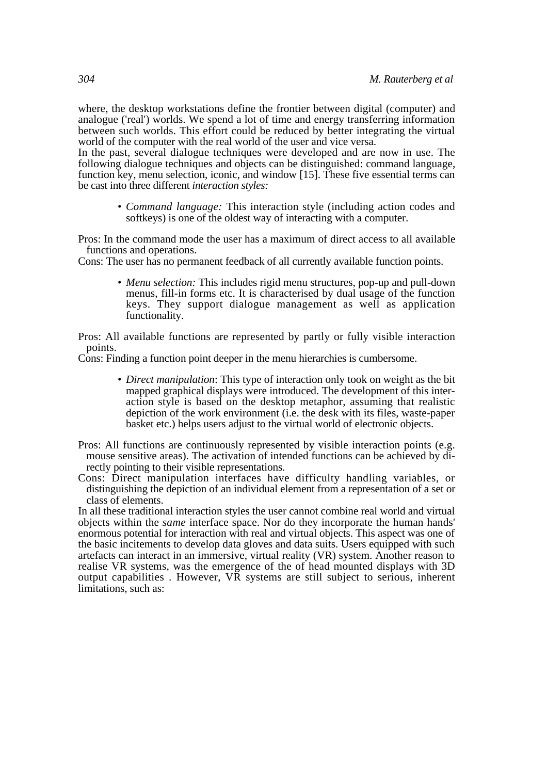where, the desktop workstations define the frontier between digital (computer) and analogue ('real') worlds. We spend a lot of time and energy transferring information between such worlds. This effort could be reduced by better integrating the virtual world of the computer with the real world of the user and vice versa.

In the past, several dialogue techniques were developed and are now in use. The following dialogue techniques and objects can be distinguished: command language, function key, menu selection, iconic, and window [15]. These five essential terms can be cast into three different *interaction styles:*

> • *Command language:* This interaction style (including action codes and softkeys) is one of the oldest way of interacting with a computer.

Pros: In the command mode the user has a maximum of direct access to all available functions and operations.

Cons: The user has no permanent feedback of all currently available function points.

• *Menu selection:* This includes rigid menu structures, pop-up and pull-down menus, fill-in forms etc. It is characterised by dual usage of the function keys. They support dialogue management as well as application functionality.

Pros: All available functions are represented by partly or fully visible interaction points.

Cons: Finding a function point deeper in the menu hierarchies is cumbersome.

• *Direct manipulation*: This type of interaction only took on weight as the bit mapped graphical displays were introduced. The development of this interaction style is based on the desktop metaphor, assuming that realistic depiction of the work environment (i.e. the desk with its files, waste-paper basket etc.) helps users adjust to the virtual world of electronic objects.

Pros: All functions are continuously represented by visible interaction points (e.g. mouse sensitive areas). The activation of intended functions can be achieved by directly pointing to their visible representations.

Cons: Direct manipulation interfaces have difficulty handling variables, or distinguishing the depiction of an individual element from a representation of a set or class of elements.

In all these traditional interaction styles the user cannot combine real world and virtual objects within the *same* interface space. Nor do they incorporate the human hands' enormous potential for interaction with real and virtual objects. This aspect was one of the basic incitements to develop data gloves and data suits. Users equipped with such artefacts can interact in an immersive, virtual reality (VR) system. Another reason to realise VR systems, was the emergence of the of head mounted displays with 3D output capabilities . However, VR systems are still subject to serious, inherent limitations, such as: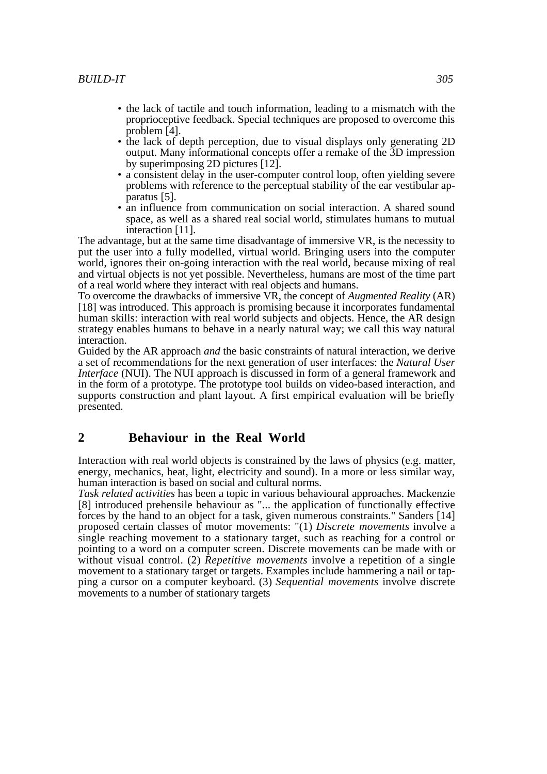- the lack of tactile and touch information, leading to a mismatch with the proprioceptive feedback. Special techniques are proposed to overcome this problem [4].
- the lack of depth perception, due to visual displays only generating 2D output. Many informational concepts offer a remake of the 3D impression by superimposing 2D pictures [12].
- a consistent delay in the user-computer control loop, often yielding severe problems with reference to the perceptual stability of the ear vestibular apparatus [5].
- an influence from communication on social interaction. A shared sound space, as well as a shared real social world, stimulates humans to mutual interaction [11].

The advantage, but at the same time disadvantage of immersive VR, is the necessity to put the user into a fully modelled, virtual world. Bringing users into the computer world, ignores their on-going interaction with the real world, because mixing of real and virtual objects is not yet possible. Nevertheless, humans are most of the time part of a real world where they interact with real objects and humans.

To overcome the drawbacks of immersive VR, the concept of *Augmented Reality* (AR) [18] was introduced. This approach is promising because it incorporates fundamental human skills: interaction with real world subjects and objects. Hence, the AR design strategy enables humans to behave in a nearly natural way; we call this way natural interaction.

Guided by the AR approach *and* the basic constraints of natural interaction, we derive a set of recommendations for the next generation of user interfaces: the *Natural User Interface* (NUI). The NUI approach is discussed in form of a general framework and in the form of a prototype. The prototype tool builds on video-based interaction, and supports construction and plant layout. A first empirical evaluation will be briefly presented.

#### **2 Behaviour in the Real World**

Interaction with real world objects is constrained by the laws of physics (e.g. matter, energy, mechanics, heat, light, electricity and sound). In a more or less similar way, human interaction is based on social and cultural norms.

*Task related activities* has been a topic in various behavioural approaches. Mackenzie [8] introduced prehensile behaviour as "... the application of functionally effective forces by the hand to an object for a task, given numerous constraints." Sanders [14] proposed certain classes of motor movements: "(1) *Discrete movements* involve a single reaching movement to a stationary target, such as reaching for a control or pointing to a word on a computer screen. Discrete movements can be made with or without visual control. (2) *Repetitive movements* involve a repetition of a single movement to a stationary target or targets. Examples include hammering a nail or tapping a cursor on a computer keyboard. (3) *Sequential movements* involve discrete movements to a number of stationary targets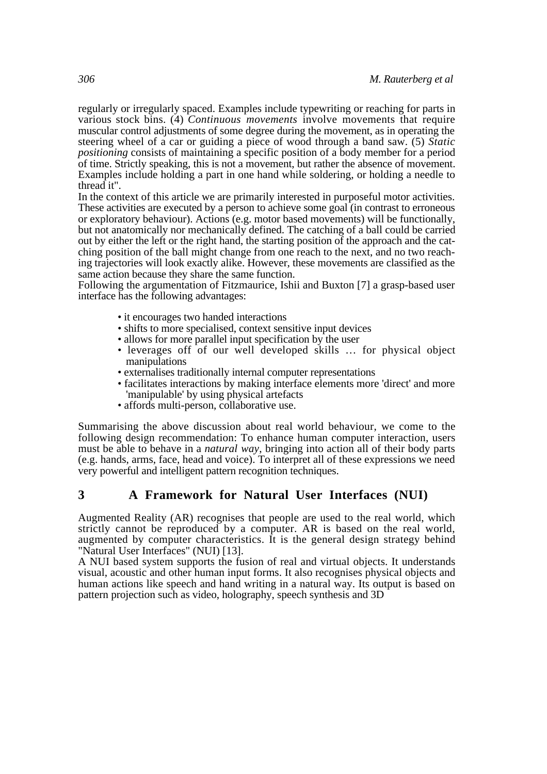regularly or irregularly spaced. Examples include typewriting or reaching for parts in various stock bins. (4) *Continuous movements* involve movements that require muscular control adjustments of some degree during the movement, as in operating the steering wheel of a car or guiding a piece of wood through a band saw. (5) *Static positioning* consists of maintaining a specific position of a body member for a period of time. Strictly speaking, this is not a movement, but rather the absence of movement. Examples include holding a part in one hand while soldering, or holding a needle to thread it".

In the context of this article we are primarily interested in purposeful motor activities. These activities are executed by a person to achieve some goal (in contrast to erroneous or exploratory behaviour). Actions (e.g. motor based movements) will be functionally, but not anatomically nor mechanically defined. The catching of a ball could be carried out by either the left or the right hand, the starting position of the approach and the catching position of the ball might change from one reach to the next, and no two reaching trajectories will look exactly alike. However, these movements are classified as the same action because they share the same function.

Following the argumentation of Fitzmaurice, Ishii and Buxton [7] a grasp-based user interface has the following advantages:

- it encourages two handed interactions
- shifts to more specialised, context sensitive input devices
- allows for more parallel input specification by the user
- leverages off of our well developed skills ... for physical object manipulations
- externalises traditionally internal computer representations
- facilitates interactions by making interface elements more 'direct' and more 'manipulable' by using physical artefacts
- affords multi-person, collaborative use.

Summarising the above discussion about real world behaviour, we come to the following design recommendation: To enhance human computer interaction, users must be able to behave in a *natural way*, bringing into action all of their body parts (e.g. hands, arms, face, head and voice). To interpret all of these expressions we need very powerful and intelligent pattern recognition techniques.

#### **3 A Framework for Natural User Interfaces (NUI)**

Augmented Reality (AR) recognises that people are used to the real world, which strictly cannot be reproduced by a computer. AR is based on the real world, augmented by computer characteristics. It is the general design strategy behind "Natural User Interfaces" (NUI) [13].

A NUI based system supports the fusion of real and virtual objects. It understands visual, acoustic and other human input forms. It also recognises physical objects and human actions like speech and hand writing in a natural way. Its output is based on pattern projection such as video, holography, speech synthesis and 3D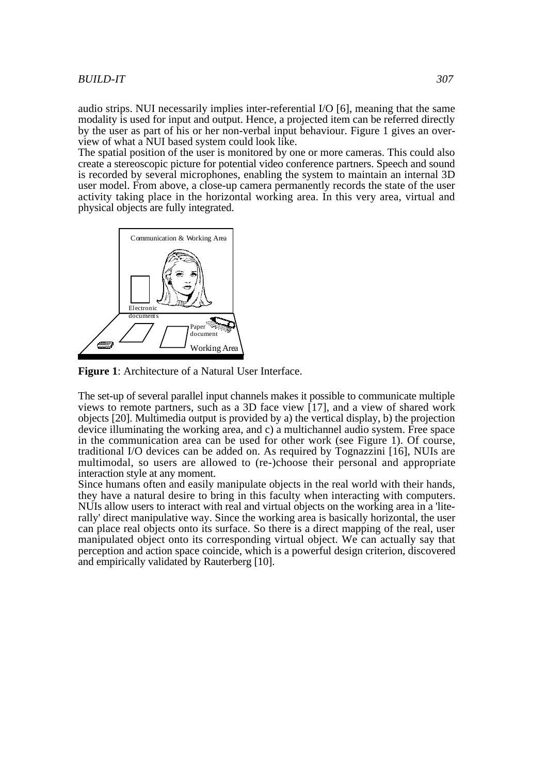audio strips. NUI necessarily implies inter-referential I/O [6], meaning that the same modality is used for input and output. Hence, a projected item can be referred directly by the user as part of his or her non-verbal input behaviour. Figure 1 gives an overview of what a NUI based system could look like.

The spatial position of the user is monitored by one or more cameras. This could also create a stereoscopic picture for potential video conference partners. Speech and sound is recorded by several microphones, enabling the system to maintain an internal 3D user model. From above, a close-up camera permanently records the state of the user activity taking place in the horizontal working area. In this very area, virtual and physical objects are fully integrated.



**Figure 1**: Architecture of a Natural User Interface.

The set-up of several parallel input channels makes it possible to communicate multiple views to remote partners, such as a 3D face view [17], and a view of shared work objects [20]. Multimedia output is provided by a) the vertical display, b) the projection device illuminating the working area, and c) a multichannel audio system. Free space in the communication area can be used for other work (see Figure 1). Of course, traditional I/O devices can be added on. As required by Tognazzini [16], NUIs are multimodal, so users are allowed to (re-)choose their personal and appropriate interaction style at any moment.

Since humans often and easily manipulate objects in the real world with their hands, they have a natural desire to bring in this faculty when interacting with computers. NUIs allow users to interact with real and virtual objects on the working area in a 'literally' direct manipulative way. Since the working area is basically horizontal, the user can place real objects onto its surface. So there is a direct mapping of the real, user manipulated object onto its corresponding virtual object. We can actually say that perception and action space coincide, which is a powerful design criterion, discovered and empirically validated by Rauterberg [10].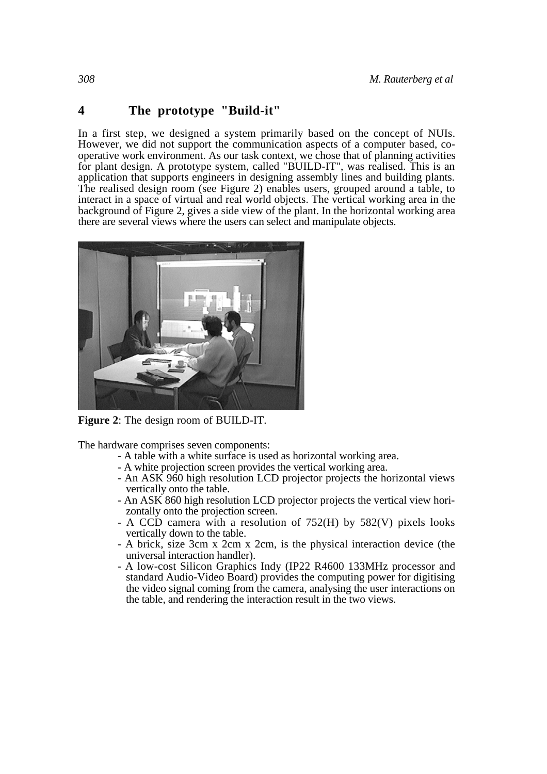# **4 The prototype "Build-it"**

In a first step, we designed a system primarily based on the concept of NUIs. However, we did not support the communication aspects of a computer based, cooperative work environment. As our task context, we chose that of planning activities for plant design. A prototype system, called "BUILD-IT", was realised. This is an application that supports engineers in designing assembly lines and building plants. The realised design room (see Figure 2) enables users, grouped around a table, to interact in a space of virtual and real world objects. The vertical working area in the background of Figure 2, gives a side view of the plant. In the horizontal working area there are several views where the users can select and manipulate objects.



**Figure 2**: The design room of BUILD-IT.

The hardware comprises seven components:

- A table with a white surface is used as horizontal working area.
- A white projection screen provides the vertical working area.
- An ASK 960 high resolution LCD projector projects the horizontal views vertically onto the table.
- An ASK 860 high resolution LCD projector projects the vertical view horizontally onto the projection screen.
- A CCD camera with a resolution of 752(H) by 582(V) pixels looks vertically down to the table.
- A brick, size 3cm x 2cm x 2cm, is the physical interaction device (the universal interaction handler).
- A low-cost Silicon Graphics Indy (IP22 R4600 133MHz processor and standard Audio-Video Board) provides the computing power for digitising the video signal coming from the camera, analysing the user interactions on the table, and rendering the interaction result in the two views.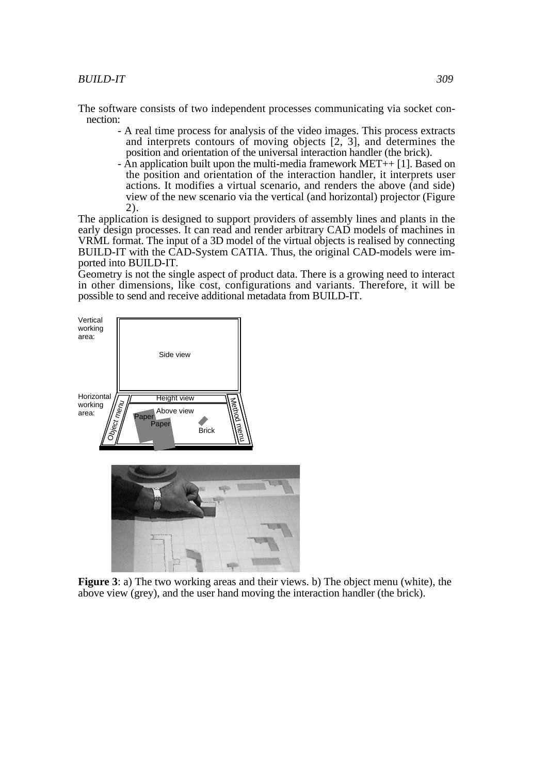The software consists of two independent processes communicating via socket connection:

- A real time process for analysis of the video images. This process extracts and interprets contours of moving objects [2, 3], and determines the position and orientation of the universal interaction handler (the brick).
- An application built upon the multi-media framework MET++ [1]. Based on the position and orientation of the interaction handler, it interprets user actions. It modifies a virtual scenario, and renders the above (and side) view of the new scenario via the vertical (and horizontal) projector (Figure 2).

The application is designed to support providers of assembly lines and plants in the early design processes. It can read and render arbitrary CAD models of machines in VRML format. The input of a 3D model of the virtual objects is realised by connecting BUILD-IT with the CAD-System CATIA. Thus, the original CAD-models were imported into BUILD-IT.

Geometry is not the single aspect of product data. There is a growing need to interact in other dimensions, like cost, configurations and variants. Therefore, it will be possible to send and receive additional metadata from BUILD-IT.



**Figure 3**: a) The two working areas and their views. b) The object menu (white), the above view (grey), and the user hand moving the interaction handler (the brick).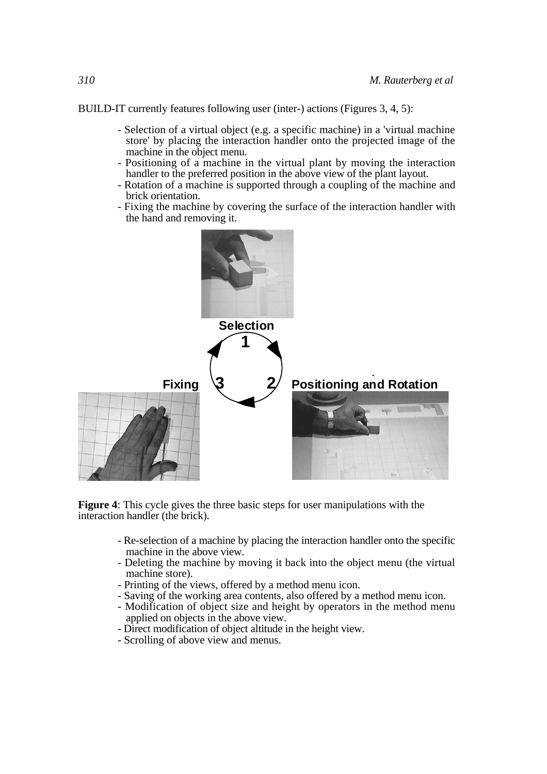BUILD-IT currently features following user (inter-) actions (Figures 3, 4, 5):

- Selection of a virtual object (e.g. a specific machine) in a 'virtual machine store' by placing the interaction handler onto the projected image of the machine in the object menu.
- Positioning of a machine in the virtual plant by moving the interaction handler to the preferred position in the above view of the plant layout.
- Rotation of a machine is supported through a coupling of the machine and brick orientation.
- Fixing the machine by covering the surface of the interaction handler with the hand and removing it.



**Figure 4**: This cycle gives the three basic steps for user manipulations with the interaction handler (the brick).

- Re-selection of a machine by placing the interaction handler onto the specific machine in the above view.
- Deleting the machine by moving it back into the object menu (the virtual machine store).
- Printing of the views, offered by a method menu icon.
- Saving of the working area contents, also offered by a method menu icon.
- Modification of object size and height by operators in the method menu applied on objects in the above view.
- Direct modification of object altitude in the height view.
- Scrolling of above view and menus.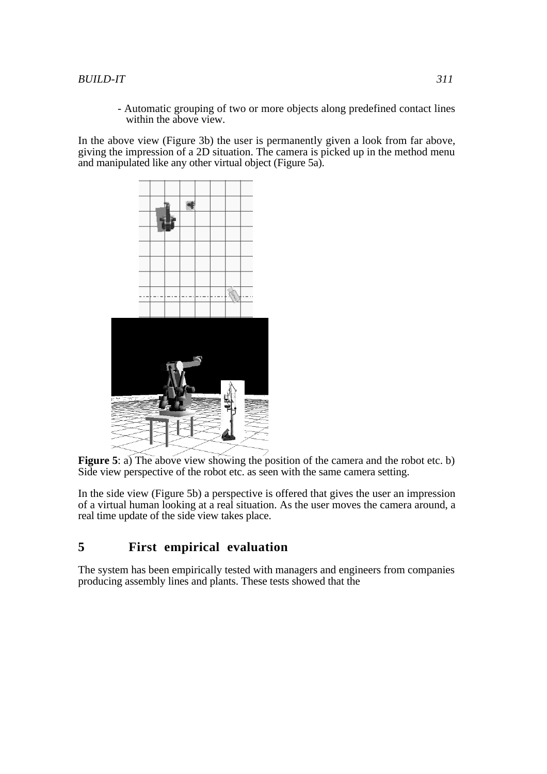- Automatic grouping of two or more objects along predefined contact lines within the above view.

In the above view (Figure 3b) the user is permanently given a look from far above, giving the impression of a 2D situation. The camera is picked up in the method menu and manipulated like any other virtual object (Figure 5a).



**Figure 5**: a) The above view showing the position of the camera and the robot etc. b) Side view perspective of the robot etc. as seen with the same camera setting.

In the side view (Figure 5b) a perspective is offered that gives the user an impression of a virtual human looking at a real situation. As the user moves the camera around, a real time update of the side view takes place.

# **5 First empirical evaluation**

The system has been empirically tested with managers and engineers from companies producing assembly lines and plants. These tests showed that the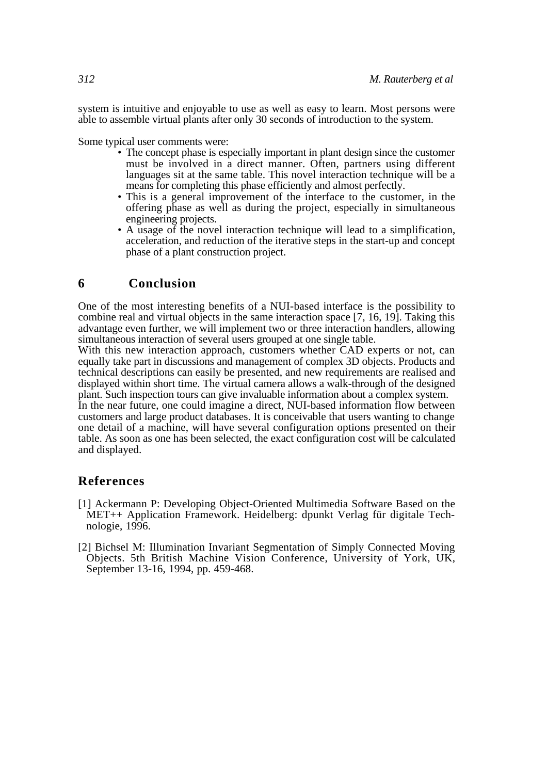system is intuitive and enjoyable to use as well as easy to learn. Most persons were able to assemble virtual plants after only 30 seconds of introduction to the system.

Some typical user comments were:

- The concept phase is especially important in plant design since the customer must be involved in a direct manner. Often, partners using different languages sit at the same table. This novel interaction technique will be a means for completing this phase efficiently and almost perfectly.
- This is a general improvement of the interface to the customer, in the offering phase as well as during the project, especially in simultaneous engineering projects.
- A usage of the novel interaction technique will lead to a simplification, acceleration, and reduction of the iterative steps in the start-up and concept phase of a plant construction project.

#### **6 Conclusion**

One of the most interesting benefits of a NUI-based interface is the possibility to combine real and virtual objects in the same interaction space [7, 16, 19]. Taking this advantage even further, we will implement two or three interaction handlers, allowing simultaneous interaction of several users grouped at one single table.

With this new interaction approach, customers whether CAD experts or not, can equally take part in discussions and management of complex 3D objects. Products and technical descriptions can easily be presented, and new requirements are realised and displayed within short time. The virtual camera allows a walk-through of the designed plant. Such inspection tours can give invaluable information about a complex system. In the near future, one could imagine a direct, NUI-based information flow between customers and large product databases. It is conceivable that users wanting to change one detail of a machine, will have several configuration options presented on their

table. As soon as one has been selected, the exact configuration cost will be calculated

#### **References**

and displayed.

- [1] Ackermann P: Developing Object-Oriented Multimedia Software Based on the MET++ Application Framework. Heidelberg: dpunkt Verlag für digitale Technologie, 1996.
- [2] Bichsel M: Illumination Invariant Segmentation of Simply Connected Moving Objects. 5th British Machine Vision Conference, University of York, UK, September 13-16, 1994, pp. 459-468.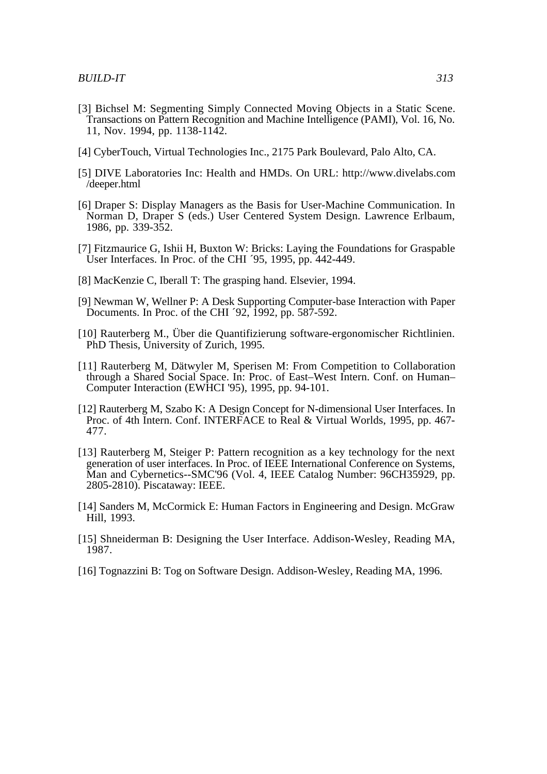- [3] Bichsel M: Segmenting Simply Connected Moving Objects in a Static Scene. Transactions on Pattern Recognition and Machine Intelligence (PAMI), Vol. 16, No. 11, Nov. 1994, pp. 1138-1142.
- [4] CyberTouch, Virtual Technologies Inc., 2175 Park Boulevard, Palo Alto, CA.
- [5] DIVE Laboratories Inc: Health and HMDs. On URL: http://www.divelabs.com /deeper.html
- [6] Draper S: Display Managers as the Basis for User-Machine Communication. In Norman D, Draper S (eds.) User Centered System Design. Lawrence Erlbaum, 1986, pp. 339-352.
- [7] Fitzmaurice G, Ishii H, Buxton W: Bricks: Laying the Foundations for Graspable User Interfaces. In Proc. of the CHI ´95, 1995, pp. 442-449.
- [8] MacKenzie C, Iberall T: The grasping hand. Elsevier, 1994.
- [9] Newman W, Wellner P: A Desk Supporting Computer-base Interaction with Paper Documents. In Proc. of the CHI ´92, 1992, pp. 587-592.
- [10] Rauterberg M., Über die Quantifizierung software-ergonomischer Richtlinien. PhD Thesis, University of Zurich, 1995.
- [11] Rauterberg M, Dätwyler M, Sperisen M: From Competition to Collaboration through a Shared Social Space. In: Proc. of East–West Intern. Conf. on Human– Computer Interaction (EWHCI '95), 1995, pp. 94-101.
- [12] Rauterberg M, Szabo K: A Design Concept for N-dimensional User Interfaces. In Proc. of 4th Intern. Conf. INTERFACE to Real & Virtual Worlds, 1995, pp. 467- 477.
- [13] Rauterberg M, Steiger P: Pattern recognition as a key technology for the next generation of user interfaces. In Proc. of IEEE International Conference on Systems, Man and Cybernetics--SMC'96 (Vol. 4, IEEE Catalog Number: 96CH35929, pp. 2805-2810). Piscataway: IEEE.
- [14] Sanders M, McCormick E: Human Factors in Engineering and Design. McGraw Hill, 1993.
- [15] Shneiderman B: Designing the User Interface. Addison-Wesley, Reading MA, 1987.
- [16] Tognazzini B: Tog on Software Design. Addison-Wesley, Reading MA, 1996.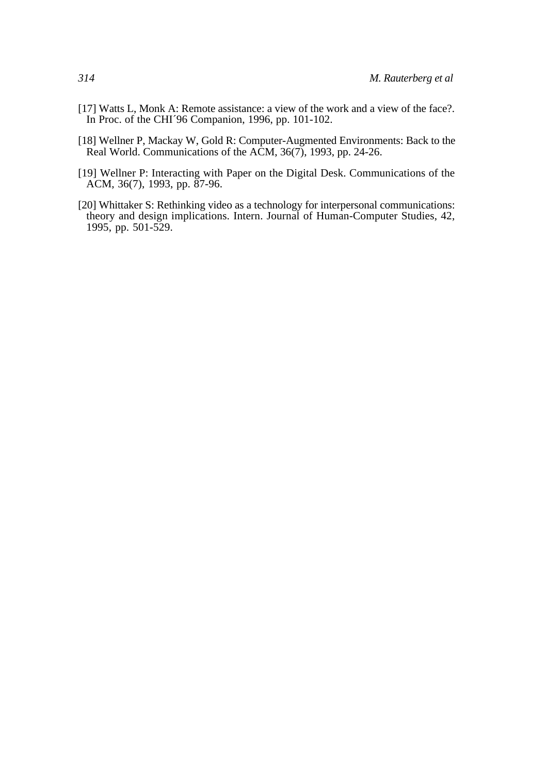- [17] Watts L, Monk A: Remote assistance: a view of the work and a view of the face?. In Proc. of the CHI´96 Companion, 1996, pp. 101-102.
- [18] Wellner P, Mackay W, Gold R: Computer-Augmented Environments: Back to the Real World. Communications of the ACM, 36(7), 1993, pp. 24-26.
- [19] Wellner P: Interacting with Paper on the Digital Desk. Communications of the ACM, 36(7), 1993, pp. 87-96.
- [20] Whittaker S: Rethinking video as a technology for interpersonal communications: theory and design implications. Intern. Journal of Human-Computer Studies, 42, 1995, pp. 501-529.